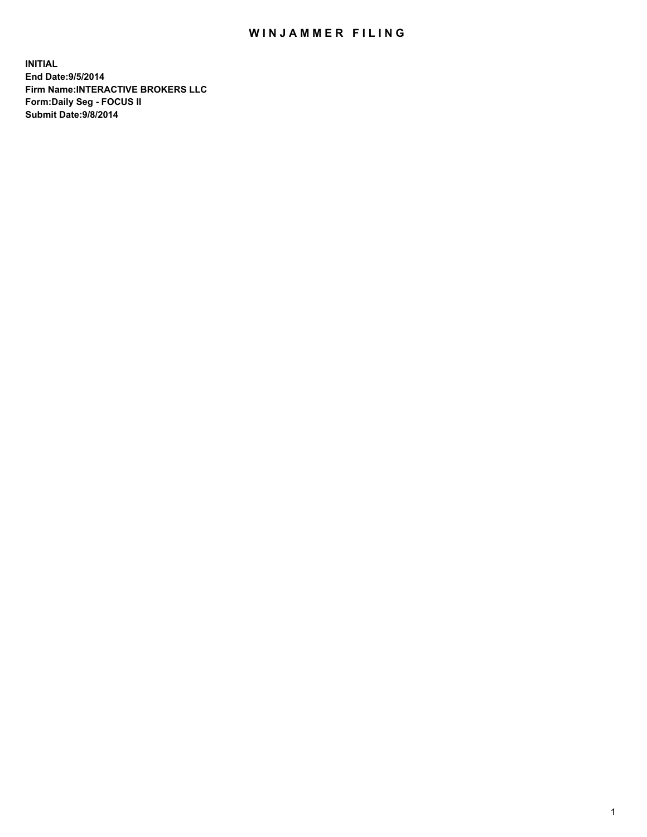## WIN JAMMER FILING

**INITIAL End Date:9/5/2014 Firm Name:INTERACTIVE BROKERS LLC Form:Daily Seg - FOCUS II Submit Date:9/8/2014**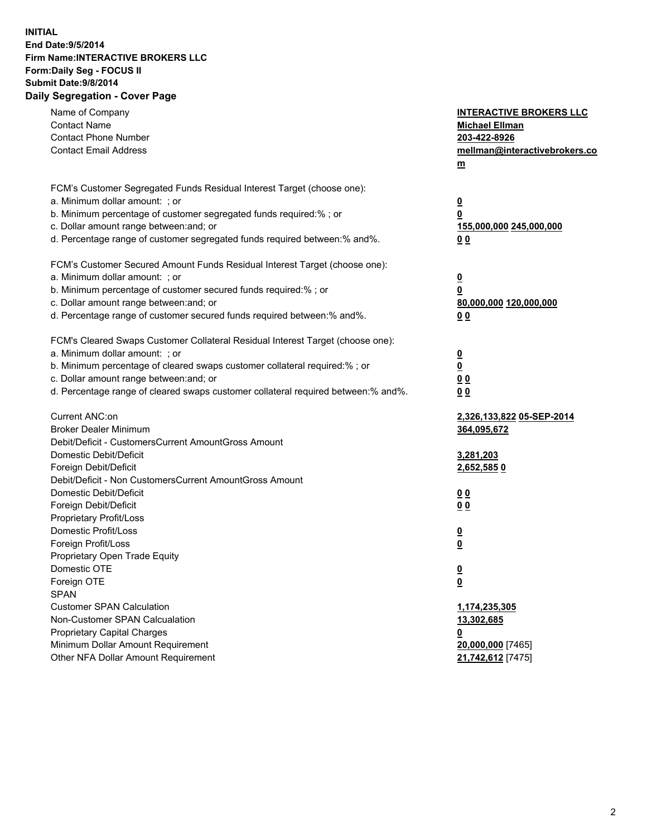## **INITIAL End Date:9/5/2014 Firm Name:INTERACTIVE BROKERS LLC Form:Daily Seg - FOCUS II Submit Date:9/8/2014 Daily Segregation - Cover Page**

| Name of Company<br><b>Contact Name</b>                                            | <b>INTERACTIVE BROKERS LLC</b><br><b>Michael Ellman</b> |
|-----------------------------------------------------------------------------------|---------------------------------------------------------|
| <b>Contact Phone Number</b>                                                       | 203-422-8926                                            |
| <b>Contact Email Address</b>                                                      | mellman@interactivebrokers.co                           |
|                                                                                   | $\underline{\mathbf{m}}$                                |
|                                                                                   |                                                         |
| FCM's Customer Segregated Funds Residual Interest Target (choose one):            |                                                         |
| a. Minimum dollar amount: ; or                                                    | $\overline{\mathbf{0}}$                                 |
| b. Minimum percentage of customer segregated funds required:% ; or                | 0                                                       |
| c. Dollar amount range between: and; or                                           | 155,000,000 245,000,000                                 |
| d. Percentage range of customer segregated funds required between:% and%.         | 00                                                      |
| FCM's Customer Secured Amount Funds Residual Interest Target (choose one):        |                                                         |
| a. Minimum dollar amount: ; or                                                    | $\overline{\mathbf{0}}$                                 |
| b. Minimum percentage of customer secured funds required:% ; or                   | 0                                                       |
| c. Dollar amount range between: and; or                                           | 80,000,000 120,000,000                                  |
| d. Percentage range of customer secured funds required between:% and%.            | 00                                                      |
|                                                                                   |                                                         |
| FCM's Cleared Swaps Customer Collateral Residual Interest Target (choose one):    |                                                         |
| a. Minimum dollar amount: ; or                                                    | $\overline{\mathbf{0}}$                                 |
| b. Minimum percentage of cleared swaps customer collateral required:% ; or        | $\underline{\mathbf{0}}$                                |
| c. Dollar amount range between: and; or                                           | 0 <sub>0</sub>                                          |
| d. Percentage range of cleared swaps customer collateral required between:% and%. | 0 <sub>0</sub>                                          |
|                                                                                   |                                                         |
| Current ANC:on                                                                    | 2,326,133,822 05-SEP-2014                               |
| <b>Broker Dealer Minimum</b>                                                      | 364,095,672                                             |
| Debit/Deficit - CustomersCurrent AmountGross Amount                               |                                                         |
| Domestic Debit/Deficit                                                            | 3,281,203                                               |
| Foreign Debit/Deficit                                                             | 2,652,5850                                              |
| Debit/Deficit - Non CustomersCurrent AmountGross Amount                           |                                                         |
| Domestic Debit/Deficit                                                            | 0 <sub>0</sub>                                          |
| Foreign Debit/Deficit                                                             | 0 <sub>0</sub>                                          |
| Proprietary Profit/Loss<br>Domestic Profit/Loss                                   |                                                         |
| Foreign Profit/Loss                                                               | $\overline{\mathbf{0}}$                                 |
| Proprietary Open Trade Equity                                                     | $\underline{\mathbf{0}}$                                |
| Domestic OTE                                                                      |                                                         |
|                                                                                   | <u>0</u>                                                |
| Foreign OTE<br><b>SPAN</b>                                                        | <u>0</u>                                                |
| <b>Customer SPAN Calculation</b>                                                  | 1,174,235,305                                           |
| Non-Customer SPAN Calcualation                                                    | 13,302,685                                              |
| <b>Proprietary Capital Charges</b>                                                |                                                         |
| Minimum Dollar Amount Requirement                                                 | <u>0</u><br>20,000,000 [7465]                           |
| Other NFA Dollar Amount Requirement                                               | 21,742,612 [7475]                                       |
|                                                                                   |                                                         |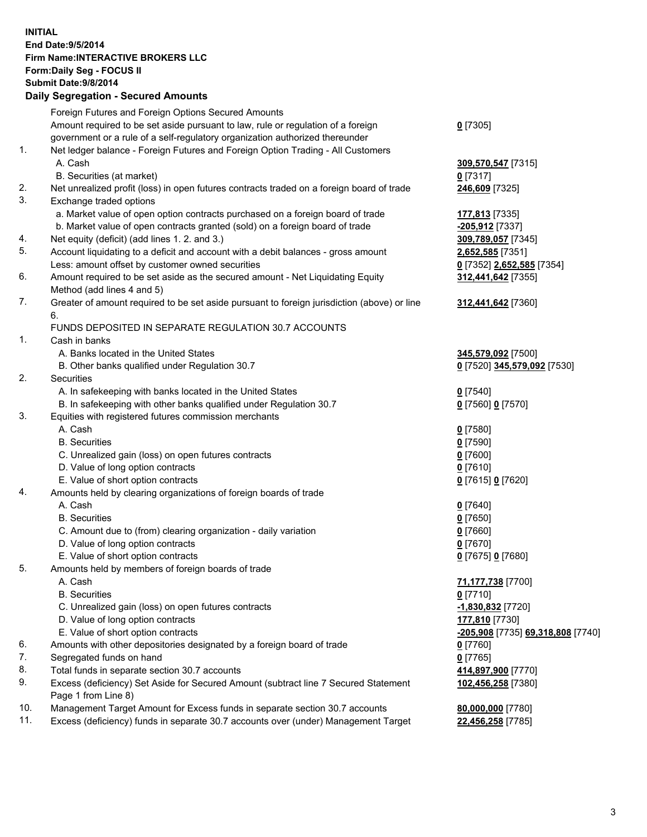## **INITIAL End Date:9/5/2014 Firm Name:INTERACTIVE BROKERS LLC Form:Daily Seg - FOCUS II Submit Date:9/8/2014 Daily Segregation - Secured Amounts**

|     | Foreign Futures and Foreign Options Secured Amounts                                         |                                   |
|-----|---------------------------------------------------------------------------------------------|-----------------------------------|
|     | Amount required to be set aside pursuant to law, rule or regulation of a foreign            | $0$ [7305]                        |
|     | government or a rule of a self-regulatory organization authorized thereunder                |                                   |
| 1.  | Net ledger balance - Foreign Futures and Foreign Option Trading - All Customers             |                                   |
|     | A. Cash                                                                                     | 309,570,547 [7315]                |
|     | B. Securities (at market)                                                                   | $0$ [7317]                        |
| 2.  | Net unrealized profit (loss) in open futures contracts traded on a foreign board of trade   | 246,609 [7325]                    |
| 3.  | Exchange traded options                                                                     |                                   |
|     | a. Market value of open option contracts purchased on a foreign board of trade              | 177,813 [7335]                    |
|     | b. Market value of open contracts granted (sold) on a foreign board of trade                | -205,912 [7337]                   |
| 4.  | Net equity (deficit) (add lines 1.2. and 3.)                                                | 309,789,057 [7345]                |
| 5.  | Account liquidating to a deficit and account with a debit balances - gross amount           | 2,652,585 [7351]                  |
|     | Less: amount offset by customer owned securities                                            | 0 [7352] 2,652,585 [7354]         |
| 6.  | Amount required to be set aside as the secured amount - Net Liquidating Equity              | 312,441,642 [7355]                |
|     | Method (add lines 4 and 5)                                                                  |                                   |
| 7.  | Greater of amount required to be set aside pursuant to foreign jurisdiction (above) or line | 312,441,642 [7360]                |
|     | 6.                                                                                          |                                   |
|     | FUNDS DEPOSITED IN SEPARATE REGULATION 30.7 ACCOUNTS                                        |                                   |
| 1.  | Cash in banks                                                                               |                                   |
|     | A. Banks located in the United States                                                       | 345,579,092 [7500]                |
|     | B. Other banks qualified under Regulation 30.7                                              | 0 [7520] 345,579,092 [7530]       |
| 2.  | Securities                                                                                  |                                   |
|     | A. In safekeeping with banks located in the United States                                   | $Q$ [7540]                        |
|     | B. In safekeeping with other banks qualified under Regulation 30.7                          | 0 [7560] 0 [7570]                 |
| 3.  | Equities with registered futures commission merchants                                       |                                   |
|     | A. Cash                                                                                     | $0$ [7580]                        |
|     | <b>B.</b> Securities                                                                        | $0$ [7590]                        |
|     | C. Unrealized gain (loss) on open futures contracts                                         | $0$ [7600]                        |
|     | D. Value of long option contracts                                                           | $0$ [7610]                        |
|     | E. Value of short option contracts                                                          | 0 [7615] 0 [7620]                 |
| 4.  | Amounts held by clearing organizations of foreign boards of trade                           |                                   |
|     | A. Cash                                                                                     | $0$ [7640]                        |
|     | <b>B.</b> Securities                                                                        | $0$ [7650]                        |
|     | C. Amount due to (from) clearing organization - daily variation                             | $0$ [7660]                        |
|     | D. Value of long option contracts                                                           | $0$ [7670]                        |
|     | E. Value of short option contracts                                                          | 0 [7675] 0 [7680]                 |
| 5.  | Amounts held by members of foreign boards of trade                                          |                                   |
|     | A. Cash                                                                                     | 71,177,738 [7700]                 |
|     | <b>B.</b> Securities                                                                        | $0$ [7710]                        |
|     | C. Unrealized gain (loss) on open futures contracts                                         | -1,830,832 <sup>[7720]</sup>      |
|     | D. Value of long option contracts                                                           | 177,810 [7730]                    |
|     | E. Value of short option contracts                                                          | -205,908 [7735] 69,318,808 [7740] |
| 6.  | Amounts with other depositories designated by a foreign board of trade                      | $0$ [7760]                        |
| 7.  | Segregated funds on hand                                                                    | $0$ [7765]                        |
| 8.  | Total funds in separate section 30.7 accounts                                               | 414,897,900 [7770]                |
| 9.  | Excess (deficiency) Set Aside for Secured Amount (subtract line 7 Secured Statement         | 102,456,258 [7380]                |
|     | Page 1 from Line 8)                                                                         |                                   |
| 10. | Management Target Amount for Excess funds in separate section 30.7 accounts                 | 80,000,000 [7780]                 |
| 11. | Excess (deficiency) funds in separate 30.7 accounts over (under) Management Target          | 22,456,258 [7785]                 |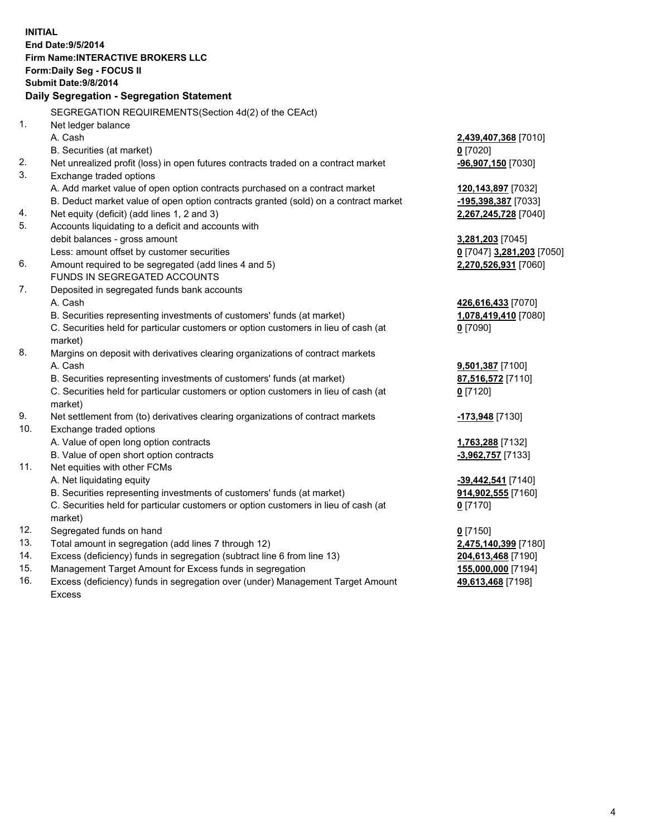**INITIAL End Date:9/5/2014 Firm Name:INTERACTIVE BROKERS LLC Form:Daily Seg - FOCUS II Submit Date:9/8/2014 Daily Segregation - Segregation Statement** SEGREGATION REQUIREMENTS(Section 4d(2) of the CEAct) 1. Net ledger balance A. Cash **2,439,407,368** [7010] B. Securities (at market) **0** [7020] 2. Net unrealized profit (loss) in open futures contracts traded on a contract market **-96,907,150** [7030] 3. Exchange traded options A. Add market value of open option contracts purchased on a contract market **120,143,897** [7032] B. Deduct market value of open option contracts granted (sold) on a contract market **-195,398,387** [7033] 4. Net equity (deficit) (add lines 1, 2 and 3) **2,267,245,728** [7040] 5. Accounts liquidating to a deficit and accounts with debit balances - gross amount **3,281,203** [7045] Less: amount offset by customer securities **0** [7047] **3,281,203** [7050] 6. Amount required to be segregated (add lines 4 and 5) **2,270,526,931** [7060] FUNDS IN SEGREGATED ACCOUNTS 7. Deposited in segregated funds bank accounts A. Cash **426,616,433** [7070] B. Securities representing investments of customers' funds (at market) **1,078,419,410** [7080] C. Securities held for particular customers or option customers in lieu of cash (at market) **0** [7090] 8. Margins on deposit with derivatives clearing organizations of contract markets A. Cash **9,501,387** [7100] B. Securities representing investments of customers' funds (at market) **87,516,572** [7110] C. Securities held for particular customers or option customers in lieu of cash (at market) **0** [7120] 9. Net settlement from (to) derivatives clearing organizations of contract markets **-173,948** [7130] 10. Exchange traded options A. Value of open long option contracts **1,763,288** [7132] B. Value of open short option contracts **-3,962,757** [7133] 11. Net equities with other FCMs A. Net liquidating equity **-39,442,541** [7140] B. Securities representing investments of customers' funds (at market) **914,902,555** [7160] C. Securities held for particular customers or option customers in lieu of cash (at market) **0** [7170] 12. Segregated funds on hand **0** [7150] 13. Total amount in segregation (add lines 7 through 12) **2,475,140,399** [7180] 14. Excess (deficiency) funds in segregation (subtract line 6 from line 13) **204,613,468** [7190] 15. Management Target Amount for Excess funds in segregation **155,000,000** [7194]

16. Excess (deficiency) funds in segregation over (under) Management Target Amount Excess

**49,613,468** [7198]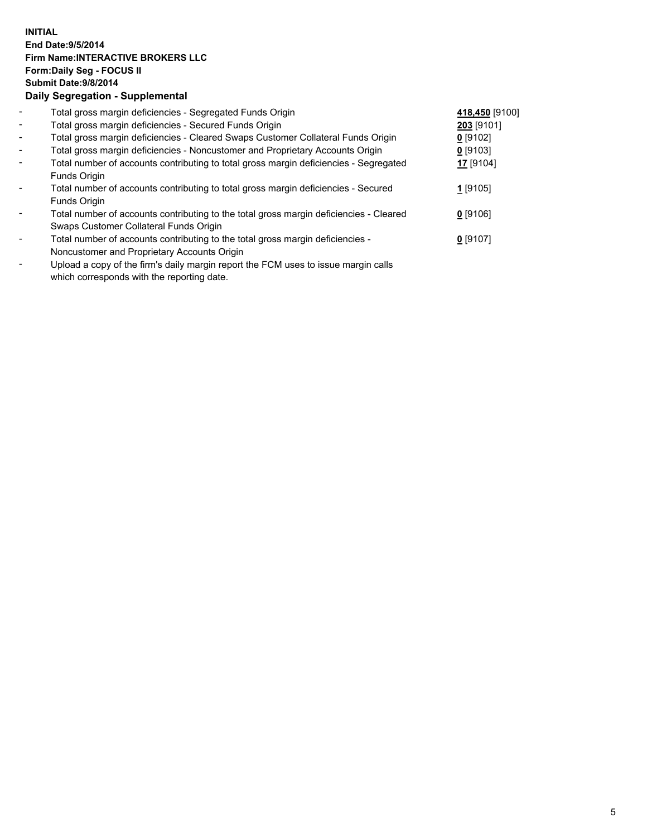## **INITIAL End Date:9/5/2014 Firm Name:INTERACTIVE BROKERS LLC Form:Daily Seg - FOCUS II Submit Date:9/8/2014 Daily Segregation - Supplemental**

| $\blacksquare$           | Total gross margin deficiencies - Segregated Funds Origin                              | 418,450 [9100] |  |
|--------------------------|----------------------------------------------------------------------------------------|----------------|--|
| $\overline{\phantom{a}}$ | Total gross margin deficiencies - Secured Funds Origin                                 | 203 [9101]     |  |
| $\blacksquare$           | Total gross margin deficiencies - Cleared Swaps Customer Collateral Funds Origin       | $0$ [9102]     |  |
| $\overline{\phantom{a}}$ | Total gross margin deficiencies - Noncustomer and Proprietary Accounts Origin          | 0 [9103]       |  |
| $\blacksquare$           | Total number of accounts contributing to total gross margin deficiencies - Segregated  | 17 [9104]      |  |
|                          | Funds Origin                                                                           |                |  |
|                          | Total number of accounts contributing to total gross margin deficiencies - Secured     | 1 [9105]       |  |
|                          | Funds Origin                                                                           |                |  |
|                          | Total number of accounts contributing to the total gross margin deficiencies - Cleared | $0$ [9106]     |  |
|                          | Swaps Customer Collateral Funds Origin                                                 |                |  |
|                          | Total number of accounts contributing to the total gross margin deficiencies -         | $0$ [9107]     |  |
|                          | Noncustomer and Proprietary Accounts Origin                                            |                |  |
|                          |                                                                                        |                |  |

- Upload a copy of the firm's daily margin report the FCM uses to issue margin calls which corresponds with the reporting date.